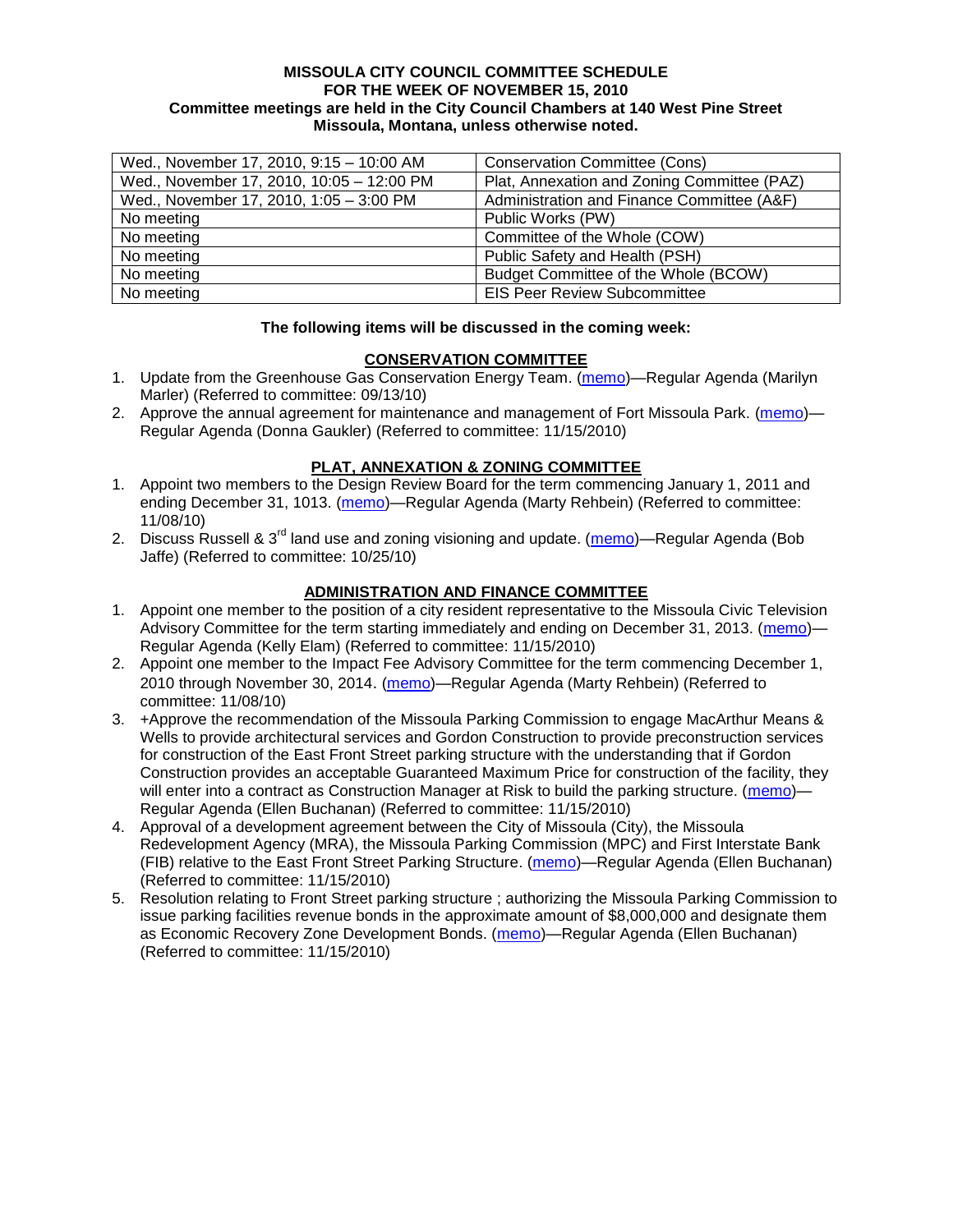#### **MISSOULA CITY COUNCIL COMMITTEE SCHEDULE FOR THE WEEK OF NOVEMBER 15, 2010 Committee meetings are held in the City Council Chambers at 140 West Pine Street Missoula, Montana, unless otherwise noted.**

| Wed., November 17, 2010, 9:15 - 10:00 AM  | <b>Conservation Committee (Cons)</b>        |
|-------------------------------------------|---------------------------------------------|
| Wed., November 17, 2010, 10:05 - 12:00 PM | Plat, Annexation and Zoning Committee (PAZ) |
| Wed., November 17, 2010, 1:05 - 3:00 PM   | Administration and Finance Committee (A&F)  |
| No meeting                                | Public Works (PW)                           |
| No meeting                                | Committee of the Whole (COW)                |
| No meeting                                | Public Safety and Health (PSH)              |
| No meeting                                | Budget Committee of the Whole (BCOW)        |
| No meeting                                | <b>EIS Peer Review Subcommittee</b>         |

#### **The following items will be discussed in the coming week:**

## **CONSERVATION COMMITTEE**

- 1. Update from the Greenhouse Gas Conservation Energy Team. [\(memo\)](http://www.ci.missoula.mt.us/DocumentView.aspx?DID=4556)—Regular Agenda (Marilyn Marler) (Referred to committee: 09/13/10)
- 2. Approve the annual agreement for maintenance and management of Fort Missoula Park. [\(memo\)](http://www.ci.missoula.mt.us/DocumentView.aspx?DID=5046) Regular Agenda (Donna Gaukler) (Referred to committee: 11/15/2010)

# **PLAT, ANNEXATION & ZONING COMMITTEE**

- 1. Appoint two members to the Design Review Board for the term commencing January 1, 2011 and ending December 31, 1013. [\(memo\)](http://www.ci.missoula.mt.us/DocumentView.aspx?DID=4989)—Regular Agenda (Marty Rehbein) (Referred to committee: 11/08/10)
- 2. Discuss Russell & 3<sup>rd</sup> land use and zoning visioning and update. [\(memo\)](http://www.ci.missoula.mt.us/DocumentView.aspx?DID=4864)—Regular Agenda (Bob Jaffe) (Referred to committee: 10/25/10)

# **ADMINISTRATION AND FINANCE COMMITTEE**

- 1. Appoint one member to the position of a city resident representative to the Missoula Civic Television Advisory Committee for the term starting immediately and ending on December 31, 2013. [\(memo\)](http://www.ci.missoula.mt.us/DocumentView.aspx?DID=5045)— Regular Agenda (Kelly Elam) (Referred to committee: 11/15/2010)
- 2. Appoint one member to the Impact Fee Advisory Committee for the term commencing December 1, 2010 through November 30, 2014. [\(memo\)](http://www.ci.missoula.mt.us/DocumentView.aspx?DID=4973)—Regular Agenda (Marty Rehbein) (Referred to committee: 11/08/10)
- 3. +Approve the recommendation of the Missoula Parking Commission to engage MacArthur Means & Wells to provide architectural services and Gordon Construction to provide preconstruction services for construction of the East Front Street parking structure with the understanding that if Gordon Construction provides an acceptable Guaranteed Maximum Price for construction of the facility, they will enter into a contract as Construction Manager at Risk to build the parking structure. [\(memo\)](http://www.ci.missoula.mt.us/DocumentView.aspx?DID=5044)-Regular Agenda (Ellen Buchanan) (Referred to committee: 11/15/2010)
- 4. Approval of a development agreement between the City of Missoula (City), the Missoula Redevelopment Agency (MRA), the Missoula Parking Commission (MPC) and First Interstate Bank (FIB) relative to the East Front Street Parking Structure. [\(memo\)](http://www.ci.missoula.mt.us/DocumentView.aspx?DID=5048)—Regular Agenda (Ellen Buchanan) (Referred to committee: 11/15/2010)
- 5. Resolution relating to Front Street parking structure ; authorizing the Missoula Parking Commission to issue parking facilities revenue bonds in the approximate amount of \$8,000,000 and designate them as Economic Recovery Zone Development Bonds. [\(memo\)](http://www.ci.missoula.mt.us/DocumentView.aspx?DID=5047)—Regular Agenda (Ellen Buchanan) (Referred to committee: 11/15/2010)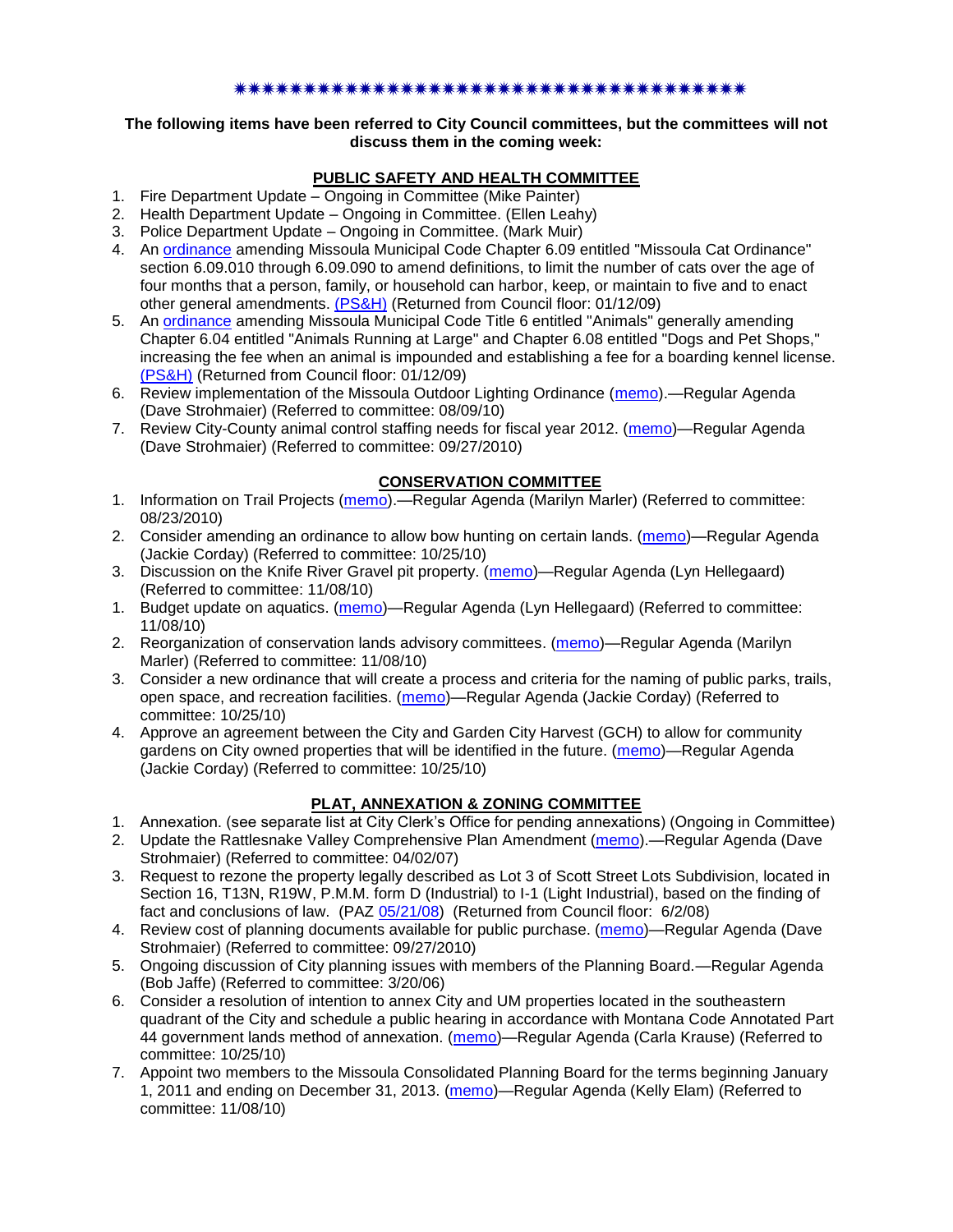#### \*\*\*\*\*\*\*\*\*\*\*\*\*\*\*\*\*\*\*\*\*\*\*\*\*\*\*\*\*\*\*\*\*

#### **The following items have been referred to City Council committees, but the committees will not discuss them in the coming week:**

## **PUBLIC SAFETY AND HEALTH COMMITTEE**

- 1. Fire Department Update Ongoing in Committee (Mike Painter)
- 2. Health Department Update Ongoing in Committee. (Ellen Leahy)
- 3. Police Department Update Ongoing in Committee. (Mark Muir)
- 4. An [ordinance](ftp://ftp.ci.missoula.mt.us/Packets/Council/2008/2008-12-15/2008CatOrdinanceAmendment%5B1%5D.pdf) amending Missoula Municipal Code Chapter 6.09 entitled "Missoula Cat Ordinance" section 6.09.010 through 6.09.090 to amend definitions, to limit the number of cats over the age of four months that a person, family, or household can harbor, keep, or maintain to five and to enact other general amendments. [\(PS&H\)](ftp://ftp.ci.missoula.mt.us/Packets/Council/2008/2008-12-15/081210psh.pdf) (Returned from Council floor: 01/12/09)
- 5. An [ordinance](ftp://ftp.ci.missoula.mt.us/Packets/Council/2008/2008-12-15/DogOrdinance--PSHrevisions.pdf) amending Missoula Municipal Code Title 6 entitled "Animals" generally amending Chapter 6.04 entitled "Animals Running at Large" and Chapter 6.08 entitled "Dogs and Pet Shops," increasing the fee when an animal is impounded and establishing a fee for a boarding kennel license. [\(PS&H\)](ftp://ftp.ci.missoula.mt.us/Packets/Council/2008/2008-12-15/081210psh.pdf) (Returned from Council floor: 01/12/09)
- 6. Review implementation of the Missoula Outdoor Lighting Ordinance [\(memo\)](http://www.ci.missoula.mt.us/DocumentView.aspx?DID=4420).—Regular Agenda (Dave Strohmaier) (Referred to committee: 08/09/10)
- 7. Review City-County animal control staffing needs for fiscal year 2012. [\(memo\)](http://www.ci.missoula.mt.us/DocumentView.aspx?DID=4620)—Regular Agenda (Dave Strohmaier) (Referred to committee: 09/27/2010)

## **CONSERVATION COMMITTEE**

- 1. Information on Trail Projects [\(memo\)](http://www.ci.missoula.mt.us/DocumentView.aspx?DID=4477).—Regular Agenda (Marilyn Marler) (Referred to committee: 08/23/2010)
- 2. Consider amending an ordinance to allow bow hunting on certain lands. [\(memo\)](http://www.ci.missoula.mt.us/DocumentView.aspx?DID=4846)—Regular Agenda (Jackie Corday) (Referred to committee: 10/25/10)
- 3. Discussion on the Knife River Gravel pit property. [\(memo\)](http://www.ci.missoula.mt.us/DocumentView.aspx?DID=4914)—Regular Agenda (Lyn Hellegaard) (Referred to committee: 11/08/10)
- 1. Budget update on aquatics. [\(memo\)](http://www.ci.missoula.mt.us/DocumentView.aspx?DID=4917)—Regular Agenda (Lyn Hellegaard) (Referred to committee: 11/08/10)
- 2. Reorganization of conservation lands advisory committees. [\(memo\)](http://www.ci.missoula.mt.us/DocumentView.aspx?DID=4957)—Regular Agenda (Marilyn Marler) (Referred to committee: 11/08/10)
- 3. Consider a new ordinance that will create a process and criteria for the naming of public parks, trails, open space, and recreation facilities. [\(memo\)](http://www.ci.missoula.mt.us/DocumentView.aspx?DID=4848)—Regular Agenda (Jackie Corday) (Referred to committee: 10/25/10)
- 4. Approve an agreement between the City and Garden City Harvest (GCH) to allow for community gardens on City owned properties that will be identified in the future. [\(memo\)](http://www.ci.missoula.mt.us/DocumentView.aspx?DID=4847)—Regular Agenda (Jackie Corday) (Referred to committee: 10/25/10)

## **PLAT, ANNEXATION & ZONING COMMITTEE**

- 1. Annexation. (see separate list at City Clerk's Office for pending annexations) (Ongoing in Committee)
- 2. Update the Rattlesnake Valley Comprehensive Plan Amendment [\(memo\)](ftp://ftp.ci.missoula.mt.us/Packets/Council/2007/2007-04-02/Referrals/Rattlesnake_Plan_Update_referral.pdf).—Regular Agenda (Dave Strohmaier) (Referred to committee: 04/02/07)
- 3. Request to rezone the property legally described as Lot 3 of Scott Street Lots Subdivision, located in Section 16, T13N, R19W, P.M.M. form D (Industrial) to I-1 (Light Industrial), based on the finding of fact and conclusions of law. (PAZ [05/21/08\)](ftp://ftp.ci.missoula.mt.us/Packets/Council/2008/2008-06-02/080521paz.pdf) (Returned from Council floor: 6/2/08)
- 4. Review cost of planning documents available for public purchase. [\(memo\)](http://www.ci.missoula.mt.us/DocumentView.aspx?DID=4624)—Regular Agenda (Dave Strohmaier) (Referred to committee: 09/27/2010)
- 5. Ongoing discussion of City planning issues with members of the Planning Board.—Regular Agenda (Bob Jaffe) (Referred to committee: 3/20/06)
- 6. Consider a resolution of intention to annex City and UM properties located in the southeastern quadrant of the City and schedule a public hearing in accordance with Montana Code Annotated Part 44 government lands method of annexation. [\(memo\)](http://www.ci.missoula.mt.us/DocumentView.aspx?DID=4845)—Regular Agenda (Carla Krause) (Referred to committee: 10/25/10)
- 7. Appoint two members to the Missoula Consolidated Planning Board for the terms beginning January 1, 2011 and ending on December 31, 2013. [\(memo\)](http://www.ci.missoula.mt.us/DocumentView.aspx?DID=4950)—Regular Agenda (Kelly Elam) (Referred to committee: 11/08/10)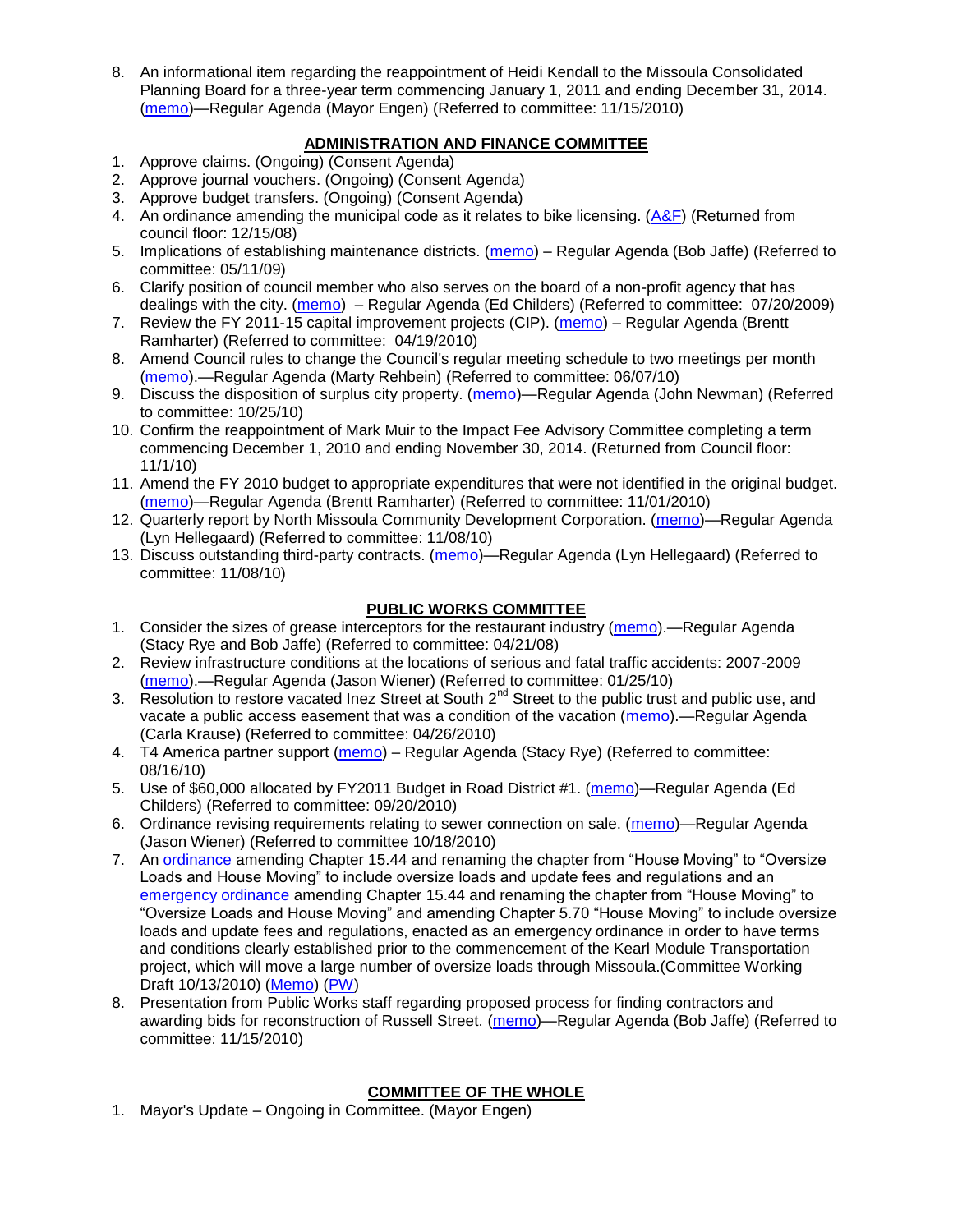8. An informational item regarding the reappointment of Heidi Kendall to the Missoula Consolidated Planning Board for a three-year term commencing January 1, 2011 and ending December 31, 2014. [\(memo\)](http://www.ci.missoula.mt.us/DocumentView.aspx?DID=5043)—Regular Agenda (Mayor Engen) (Referred to committee: 11/15/2010)

## **ADMINISTRATION AND FINANCE COMMITTEE**

- 1. Approve claims. (Ongoing) (Consent Agenda)
- 2. Approve journal vouchers. (Ongoing) (Consent Agenda)
- 3. Approve budget transfers. (Ongoing) (Consent Agenda)
- 4. An ordinance amending the municipal code as it relates to bike licensing. [\(A&F\)](ftp://ftp.ci.missoula.mt.us/Packets/Council/2008/2008-12-15/081210af.pdf) (Returned from council floor: 12/15/08)
- 5. Implications of establishing maintenance districts. [\(memo\)](ftp://ftp.ci.missoula.mt.us/Packets/Council/2009/2009-05-11/Referrals/MaintenanceDistricts.pdf) Regular Agenda (Bob Jaffe) (Referred to committee: 05/11/09)
- 6. Clarify position of council member who also serves on the board of a non-profit agency that has dealings with the city. [\(memo\)](http://www.ci.missoula.mt.us/DocumentView.aspx?DID=1840) – Regular Agenda (Ed Childers) (Referred to committee: 07/20/2009)
- 7. Review the FY 2011-15 capital improvement projects (CIP). [\(memo\)](http://www.ci.missoula.mt.us/DocumentView.aspx?DID=3522) Regular Agenda (Brentt Ramharter) (Referred to committee: 04/19/2010)
- 8. Amend Council rules to change the Council's regular meeting schedule to two meetings per month [\(memo\)](http://www.ci.missoula.mt.us/DocumentView.aspx?DID=4027).—Regular Agenda (Marty Rehbein) (Referred to committee: 06/07/10)
- 9. Discuss the disposition of surplus city property. [\(memo\)](http://www.ci.missoula.mt.us/DocumentView.aspx?DID=4862)—Regular Agenda (John Newman) (Referred to committee: 10/25/10)
- 10. Confirm the reappointment of Mark Muir to the Impact Fee Advisory Committee completing a term commencing December 1, 2010 and ending November 30, 2014. (Returned from Council floor: 11/1/10)
- 11. Amend the FY 2010 budget to appropriate expenditures that were not identified in the original budget. [\(memo\)](http://www.ci.missoula.mt.us/DocumentView.aspx?DID=4883)—Regular Agenda (Brentt Ramharter) (Referred to committee: 11/01/2010)
- 12. Quarterly report by North Missoula Community Development Corporation. [\(memo\)](http://www.ci.missoula.mt.us/DocumentView.aspx?DID=4915)—Regular Agenda (Lyn Hellegaard) (Referred to committee: 11/08/10)
- 13. Discuss outstanding third-party contracts. [\(memo\)](http://www.ci.missoula.mt.us/DocumentView.aspx?DID=4956)—Regular Agenda (Lyn Hellegaard) (Referred to committee: 11/08/10)

## **PUBLIC WORKS COMMITTEE**

- 1. Consider the sizes of grease interceptors for the restaurant industry [\(memo\)](ftp://ftp.ci.missoula.mt.us/Packets/Council/2008/2008-04-21/Referrals/Industrial_waste_restaurants.pdf).—Regular Agenda (Stacy Rye and Bob Jaffe) (Referred to committee: 04/21/08)
- 2. Review infrastructure conditions at the locations of serious and fatal traffic accidents: 2007-2009 [\(memo\)](http://www.ci.missoula.mt.us/DocumentView.aspx?DID=3031).—Regular Agenda (Jason Wiener) (Referred to committee: 01/25/10)
- 3. Resolution to restore vacated Inez Street at South 2<sup>nd</sup> Street to the public trust and public use, and vacate a public access easement that was a condition of the vacation [\(memo\)](http://www.ci.missoula.mt.us/DocumentView.aspx?DID=3573).—Regular Agenda (Carla Krause) (Referred to committee: 04/26/2010)
- 4. T4 America partner support [\(memo\)](http://www.ci.missoula.mt.us/DocumentView.aspx?DID=4452) Regular Agenda (Stacy Rye) (Referred to committee: 08/16/10)
- 5. Use of \$60,000 allocated by FY2011 Budget in Road District #1. [\(memo\)](http://www.ci.missoula.mt.us/DocumentView.aspx?DID=4589)—Regular Agenda (Ed Childers) (Referred to committee: 09/20/2010)
- 6. Ordinance revising requirements relating to sewer connection on sale. [\(memo\)](http://www.ci.missoula.mt.us/DocumentView.aspx?DID=4746)—Regular Agenda (Jason Wiener) (Referred to committee 10/18/2010)
- 7. An [ordinance](http://www.ci.missoula.mt.us/DocumentView.aspx?DID=4348) amending Chapter 15.44 and renaming the chapter from "House Moving" to "Oversize" Loads and House Moving" to include oversize loads and update fees and regulations and an [emergency ordinance](http://www.ci.missoula.mt.us/DocumentView.aspx?DID=4409) amending Chapter 15.44 and renaming the chapter from "House Moving" to "Oversize Loads and House Moving" and amending Chapter 5.70 "House Moving" to include oversize loads and update fees and regulations, enacted as an emergency ordinance in order to have terms and conditions clearly established prior to the commencement of the Kearl Module Transportation project, which will move a large number of oversize loads through Missoula.(Committee Working Draft 10/13/2010) [\(Memo\)](http://www.ci.missoula.mt.us/DocumentView.aspx?DID=4362) [\(PW\)](http://www.ci.missoula.mt.us/Archive.aspx?ADID=2800)
- 8. Presentation from Public Works staff regarding proposed process for finding contractors and awarding bids for reconstruction of Russell Street. [\(memo\)](http://www.ci.missoula.mt.us/DocumentView.aspx?DID=5042)—Regular Agenda (Bob Jaffe) (Referred to committee: 11/15/2010)

## **COMMITTEE OF THE WHOLE**

1. Mayor's Update – Ongoing in Committee. (Mayor Engen)